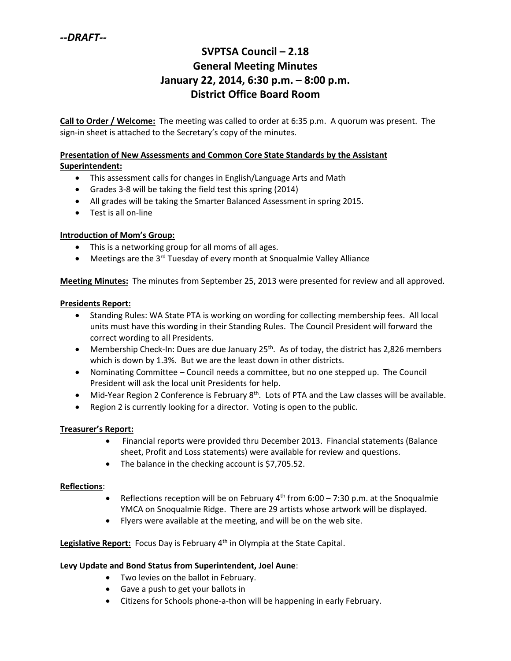# **SVPTSA Council – 2.18 General Meeting Minutes January 22, 2014, 6:30 p.m. – 8:00 p.m. District Office Board Room**

**Call to Order / Welcome:** The meeting was called to order at 6:35 p.m. A quorum was present. The sign-in sheet is attached to the Secretary's copy of the minutes.

#### **Presentation of New Assessments and Common Core State Standards by the Assistant Superintendent:**

- This assessment calls for changes in English/Language Arts and Math
- Grades 3-8 will be taking the field test this spring (2014)
- All grades will be taking the Smarter Balanced Assessment in spring 2015.
- Test is all on-line

## **Introduction of Mom's Group:**

- This is a networking group for all moms of all ages.
- $\bullet$  Meetings are the 3<sup>rd</sup> Tuesday of every month at Snoqualmie Valley Alliance

**Meeting Minutes:** The minutes from September 25, 2013 were presented for review and all approved.

#### **Presidents Report:**

- Standing Rules: WA State PTA is working on wording for collecting membership fees. All local units must have this wording in their Standing Rules. The Council President will forward the correct wording to all Presidents.
- Membership Check-In: Dues are due January  $25<sup>th</sup>$ . As of today, the district has 2,826 members which is down by 1.3%. But we are the least down in other districts.
- Nominating Committee Council needs a committee, but no one stepped up. The Council President will ask the local unit Presidents for help.
- Mid-Year Region 2 Conference is February 8<sup>th</sup>. Lots of PTA and the Law classes will be available.
- Region 2 is currently looking for a director. Voting is open to the public.

### **Treasurer's Report:**

- Financial reports were provided thru December 2013. Financial statements (Balance sheet, Profit and Loss statements) were available for review and questions.
- The balance in the checking account is \$7,705.52.

### **Reflections**:

- Reflections reception will be on February  $4<sup>th</sup>$  from 6:00 7:30 p.m. at the Snoqualmie YMCA on Snoqualmie Ridge. There are 29 artists whose artwork will be displayed.
- Flyers were available at the meeting, and will be on the web site.

Legislative Report: Focus Day is February 4<sup>th</sup> in Olympia at the State Capital.

### **Levy Update and Bond Status from Superintendent, Joel Aune**:

- Two levies on the ballot in February.
- Gave a push to get your ballots in
- Citizens for Schools phone-a-thon will be happening in early February.